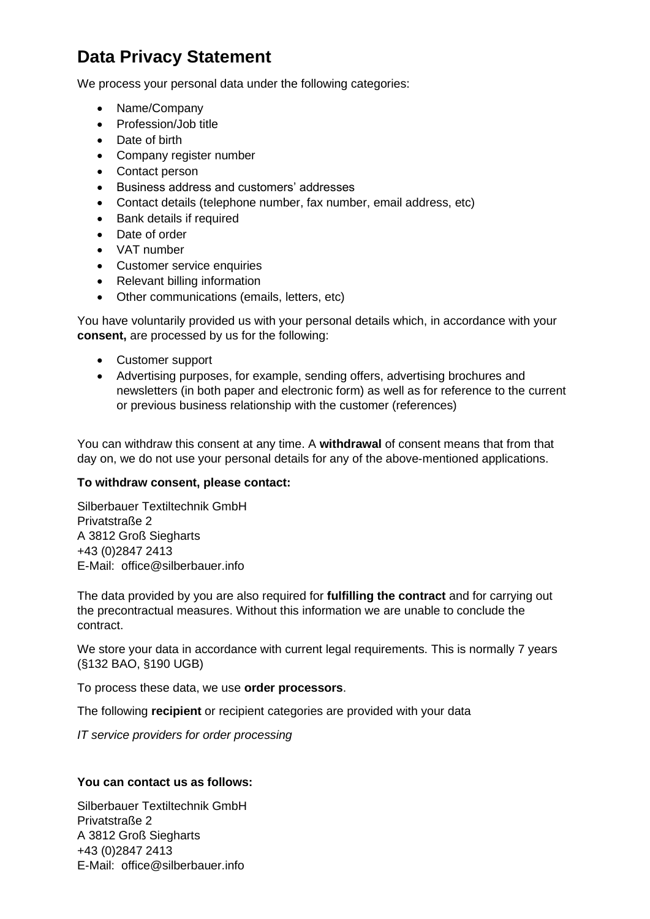## **Data Privacy Statement**

We process your personal data under the following categories:

- Name/Company
- Profession/Job title
- Date of birth
- Company register number
- Contact person
- Business address and customers' addresses
- Contact details (telephone number, fax number, email address, etc)
- Bank details if required
- Date of order
- VAT number
- Customer service enquiries
- Relevant billing information
- Other communications (emails, letters, etc)

You have voluntarily provided us with your personal details which, in accordance with your **consent,** are processed by us for the following:

- Customer support
- Advertising purposes, for example, sending offers, advertising brochures and newsletters (in both paper and electronic form) as well as for reference to the current or previous business relationship with the customer (references)

You can withdraw this consent at any time. A **withdrawal** of consent means that from that day on, we do not use your personal details for any of the above-mentioned applications.

## **To withdraw consent, please contact:**

Silberbauer Textiltechnik GmbH Privatstraße 2 A 3812 Groß Siegharts +43 (0)2847 2413 E-Mail: office@silberbauer.info

The data provided by you are also required for **fulfilling the contract** and for carrying out the precontractual measures. Without this information we are unable to conclude the contract.

We store your data in accordance with current legal requirements. This is normally 7 years (§132 BAO, §190 UGB)

To process these data, we use **order processors**.

The following **recipient** or recipient categories are provided with your data

*IT service providers for order processing*

## **You can contact us as follows:**

Silberbauer Textiltechnik GmbH Privatstraße 2 A 3812 Groß Siegharts +43 (0)2847 2413 E-Mail: office@silberbauer.info